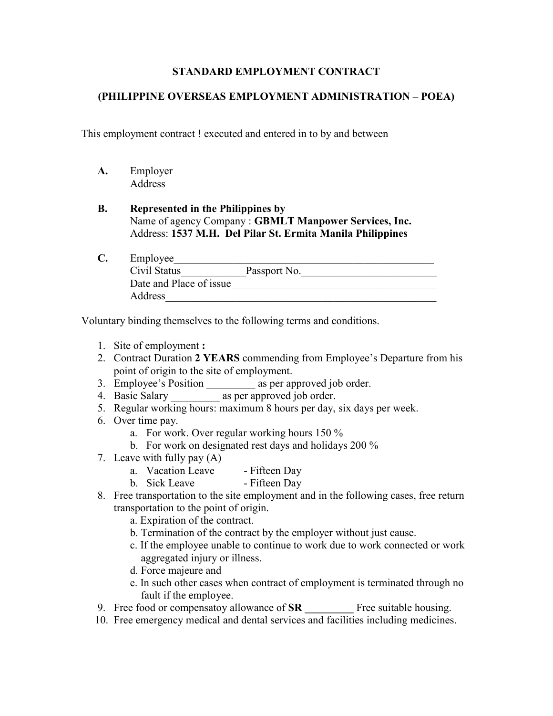## STANDARD EMPLOYMENT CONTRACT

## (PHILIPPINE OVERSEAS EMPLOYMENT ADMINISTRATION – POEA)

This employment contract ! executed and entered in to by and between

A. Employer Address

## B. Represented in the Philippines by Name of agency Company : GBMLT Manpower Services, Inc. Address: 1537 M.H. Del Pilar St. Ermita Manila Philippines

C. Employee Civil Status\_\_\_\_\_\_\_\_\_\_\_\_Passport No.\_\_\_\_\_\_\_\_\_\_\_\_\_\_\_\_\_\_\_\_\_\_\_\_\_ Date and Place of issue Address\_\_\_\_\_\_\_\_\_\_\_\_\_\_\_\_\_\_\_\_\_\_\_\_\_\_\_\_\_\_\_\_\_\_\_\_\_\_\_\_\_\_\_\_\_\_\_\_\_\_

Voluntary binding themselves to the following terms and conditions.

- 1. Site of employment :
- 2. Contract Duration 2 YEARS commending from Employee's Departure from his point of origin to the site of employment.
- 3. Employee's Position as per approved job order.
- 4. Basic Salary \_\_\_\_\_\_\_\_\_ as per approved job order.
- 5. Regular working hours: maximum 8 hours per day, six days per week.
- 6. Over time pay.
	- a. For work. Over regular working hours 150 %
	- b. For work on designated rest days and holidays 200 %
- 7. Leave with fully pay (A)
	- a. Vacation Leave Fifteen Day
	- b. Sick Leave Fifteen Day
- 8. Free transportation to the site employment and in the following cases, free return transportation to the point of origin.
	- a. Expiration of the contract.
	- b. Termination of the contract by the employer without just cause.
	- c. If the employee unable to continue to work due to work connected or work aggregated injury or illness.
	- d. Force majeure and
	- e. In such other cases when contract of employment is terminated through no fault if the employee.
- 9. Free food or compensato allowance of  $SR$  Free suitable housing.
- 10. Free emergency medical and dental services and facilities including medicines.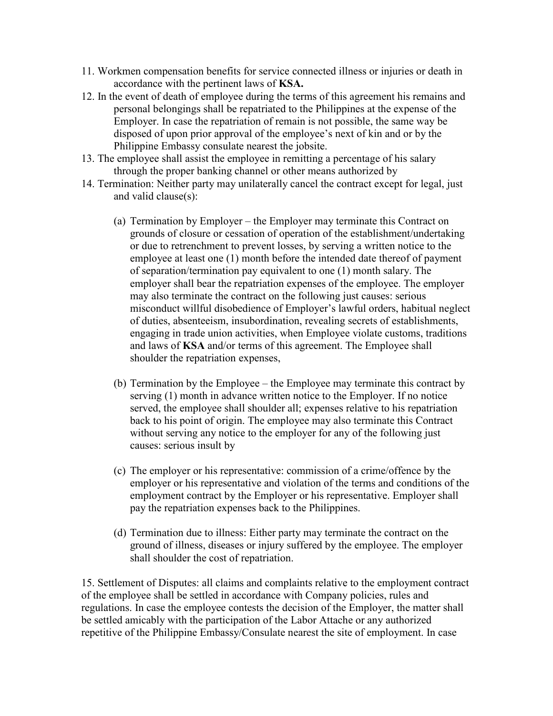- 11. Workmen compensation benefits for service connected illness or injuries or death in accordance with the pertinent laws of KSA.
- 12. In the event of death of employee during the terms of this agreement his remains and personal belongings shall be repatriated to the Philippines at the expense of the Employer. In case the repatriation of remain is not possible, the same way be disposed of upon prior approval of the employee's next of kin and or by the Philippine Embassy consulate nearest the jobsite.
- 13. The employee shall assist the employee in remitting a percentage of his salary through the proper banking channel or other means authorized by
- 14. Termination: Neither party may unilaterally cancel the contract except for legal, just and valid clause(s):
	- (a) Termination by Employer the Employer may terminate this Contract on grounds of closure or cessation of operation of the establishment/undertaking or due to retrenchment to prevent losses, by serving a written notice to the employee at least one (1) month before the intended date thereof of payment of separation/termination pay equivalent to one (1) month salary. The employer shall bear the repatriation expenses of the employee. The employer may also terminate the contract on the following just causes: serious misconduct willful disobedience of Employer's lawful orders, habitual neglect of duties, absenteeism, insubordination, revealing secrets of establishments, engaging in trade union activities, when Employee violate customs, traditions and laws of KSA and/or terms of this agreement. The Employee shall shoulder the repatriation expenses,
	- (b) Termination by the Employee the Employee may terminate this contract by serving (1) month in advance written notice to the Employer. If no notice served, the employee shall shoulder all; expenses relative to his repatriation back to his point of origin. The employee may also terminate this Contract without serving any notice to the employer for any of the following just causes: serious insult by
	- (c) The employer or his representative: commission of a crime/offence by the employer or his representative and violation of the terms and conditions of the employment contract by the Employer or his representative. Employer shall pay the repatriation expenses back to the Philippines.
	- (d) Termination due to illness: Either party may terminate the contract on the ground of illness, diseases or injury suffered by the employee. The employer shall shoulder the cost of repatriation.

15. Settlement of Disputes: all claims and complaints relative to the employment contract of the employee shall be settled in accordance with Company policies, rules and regulations. In case the employee contests the decision of the Employer, the matter shall be settled amicably with the participation of the Labor Attache or any authorized repetitive of the Philippine Embassy/Consulate nearest the site of employment. In case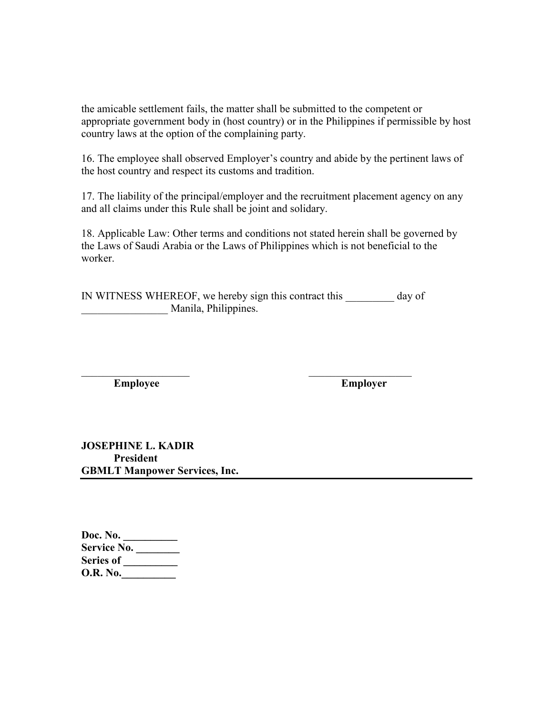the amicable settlement fails, the matter shall be submitted to the competent or appropriate government body in (host country) or in the Philippines if permissible by host country laws at the option of the complaining party.

16. The employee shall observed Employer's country and abide by the pertinent laws of the host country and respect its customs and tradition.

17. The liability of the principal/employer and the recruitment placement agency on any and all claims under this Rule shall be joint and solidary.

18. Applicable Law: Other terms and conditions not stated herein shall be governed by the Laws of Saudi Arabia or the Laws of Philippines which is not beneficial to the worker.

IN WITNESS WHEREOF, we hereby sign this contract this day of Manila, Philippines.

 $\mathcal{L}_\text{max}$  , and the contract of the contract of the contract of the contract of the contract of the contract of the contract of the contract of the contract of the contract of the contract of the contract of the contr Employee Employer

JOSEPHINE L. KADIR President GBMLT Manpower Services, Inc.

| Doc. No.           |  |
|--------------------|--|
| <b>Service No.</b> |  |
| <b>Series of</b>   |  |
| <b>O.R.</b> No.    |  |